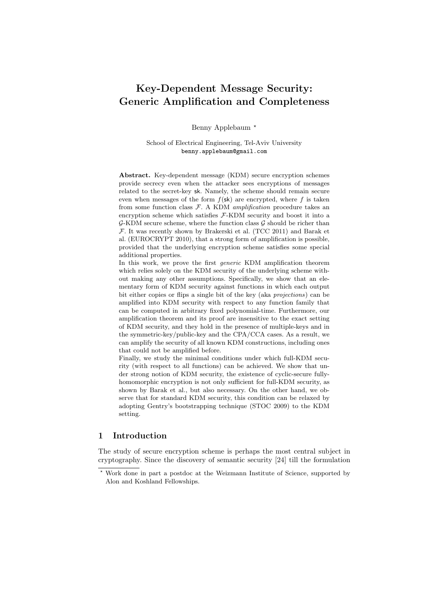# **Key-Dependent Message Security: Generic Amplification and Completeness**

Benny Applebaum *<sup>⋆</sup>*

School of Electrical Engineering, Tel-Aviv University benny.applebaum@gmail.com

**Abstract.** Key-dependent message (KDM) secure encryption schemes provide secrecy even when the attacker sees encryptions of messages related to the secret-key sk. Namely, the scheme should remain secure even when messages of the form  $f(\mathsf{sk})$  are encrypted, where  $f$  is taken from some function class *F*. A KDM *amplification* procedure takes an encryption scheme which satisfies *F*-KDM security and boost it into a *G*-KDM secure scheme, where the function class *G* should be richer than *F*. It was recently shown by Brakerski et al. (TCC 2011) and Barak et al. (EUROCRYPT 2010), that a strong form of amplification is possible, provided that the underlying encryption scheme satisfies some special additional properties.

In this work, we prove the first *generic* KDM amplification theorem which relies solely on the KDM security of the underlying scheme without making any other assumptions. Specifically, we show that an elementary form of KDM security against functions in which each output bit either copies or flips a single bit of the key (aka *projections*) can be amplified into KDM security with respect to any function family that can be computed in arbitrary fixed polynomial-time. Furthermore, our amplification theorem and its proof are insensitive to the exact setting of KDM security, and they hold in the presence of multiple-keys and in the symmetric-key/public-key and the CPA/CCA cases. As a result, we can amplify the security of all known KDM constructions, including ones that could not be amplified before.

Finally, we study the minimal conditions under which full-KDM security (with respect to all functions) can be achieved. We show that under strong notion of KDM security, the existence of cyclic-secure fullyhomomorphic encryption is not only sufficient for full-KDM security, as shown by Barak et al., but also necessary. On the other hand, we observe that for standard KDM security, this condition can be relaxed by adopting Gentry's bootstrapping technique (STOC 2009) to the KDM setting.

## **1 Introduction**

The study of secure encryption scheme is perhaps the most central subject in cryptography. Since the discovery of semantic security [24] till the formulation

Work done in part a postdoc at the Weizmann Institute of Science, supported by Alon and Koshland Fellowships.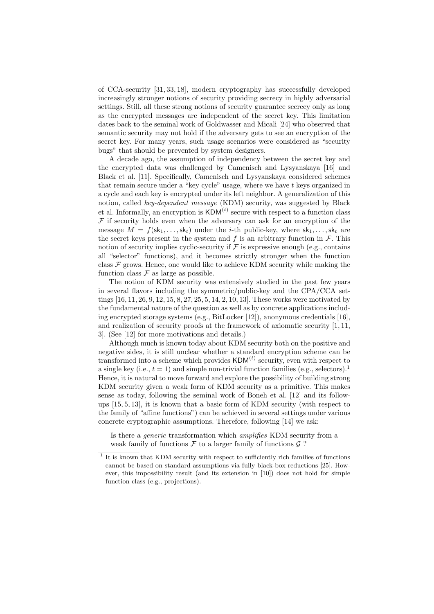of CCA-security [31, 33, 18], modern cryptography has successfully developed increasingly stronger notions of security providing secrecy in highly adversarial settings. Still, all these strong notions of security guarantee secrecy only as long as the encrypted messages are independent of the secret key. This limitation dates back to the seminal work of Goldwasser and Micali [24] who observed that semantic security may not hold if the adversary gets to see an encryption of the secret key. For many years, such usage scenarios were considered as "security bugs" that should be prevented by system designers.

A decade ago, the assumption of independency between the secret key and the encrypted data was challenged by Camenisch and Lysyanskaya [16] and Black et al. [11]. Specifically, Camenisch and Lysyanskaya considered schemes that remain secure under a "key cycle" usage, where we have *t* keys organized in a cycle and each key is encrypted under its left neighbor. A generalization of this notion, called *key-dependent message* (KDM) security, was suggested by Black et al. Informally, an encryption is KDM(*t*) secure with respect to a function class  $F$  if security holds even when the adversary can ask for an encryption of the message  $M = f(\mathsf{sk}_1, \ldots, \mathsf{sk}_t)$  under the *i*-th public-key, where  $\mathsf{sk}_1, \ldots, \mathsf{sk}_t$  are the secret keys present in the system and  $f$  is an arbitrary function in  $\mathcal{F}$ . This notion of security implies cyclic-security if  $\mathcal F$  is expressive enough (e.g., contains all "selector" functions), and it becomes strictly stronger when the function class  $\mathcal F$  grows. Hence, one would like to achieve KDM security while making the function class  $\mathcal F$  as large as possible.

The notion of KDM security was extensively studied in the past few years in several flavors including the symmetric/public-key and the CPA/CCA settings [16, 11, 26, 9, 12, 15, 8, 27, 25, 5, 14, 2, 10, 13]. These works were motivated by the fundamental nature of the question as well as by concrete applications including encrypted storage systems (e.g., BitLocker [12]), anonymous credentials [16], and realization of security proofs at the framework of axiomatic security [1, 11, 3]. (See [12] for more motivations and details.)

Although much is known today about KDM security both on the positive and negative sides, it is still unclear whether a standard encryption scheme can be transformed into a scheme which provides  $KDM<sup>(t)</sup>$  security, even with respect to a single key (i.e.,  $t = 1$ ) and simple non-trivial function families (e.g., selectors).<sup>1</sup> Hence, it is natural to move forward and explore the possibility of building strong KDM security given a weak form of KDM security as a primitive. This makes sense as today, following the seminal work of Boneh et al. [12] and its followups [15, 5, 13], it is known that a basic form of KDM security (with respect to the family of "affine functions") can be achieved in several settings under various concrete cryptographic assumptions. Therefore, following [14] we ask:

Is there a *generic* transformation which *amplifies* KDM security from a weak family of functions  $\mathcal F$  to a larger family of functions  $\mathcal G$ ?

<sup>&</sup>lt;sup>1</sup> It is known that KDM security with respect to sufficiently rich families of functions cannot be based on standard assumptions via fully black-box reductions [25]. However, this impossibility result (and its extension in [10]) does not hold for simple function class (e.g., projections).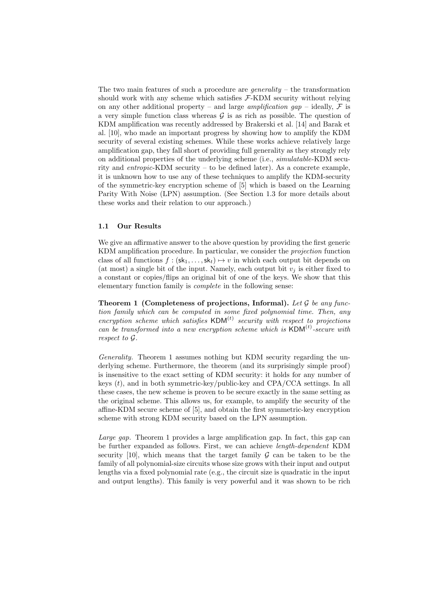The two main features of such a procedure are *generality* – the transformation should work with any scheme which satisfies *F*-KDM security without relying on any other additional property – and large *amplification gap* – ideally,  $\mathcal F$  is a very simple function class whereas  $G$  is as rich as possible. The question of KDM amplification was recently addressed by Brakerski et al. [14] and Barak et al. [10], who made an important progress by showing how to amplify the KDM security of several existing schemes. While these works achieve relatively large amplification gap, they fall short of providing full generality as they strongly rely on additional properties of the underlying scheme (i.e., *simulatable*-KDM security and *entropic*-KDM security – to be defined later). As a concrete example, it is unknown how to use any of these techniques to amplify the KDM-security of the symmetric-key encryption scheme of [5] which is based on the Learning Parity With Noise (LPN) assumption. (See Section 1.3 for more details about these works and their relation to our approach.)

## **1.1 Our Results**

We give an affirmative answer to the above question by providing the first generic KDM amplification procedure. In particular, we consider the *projection* function class of all functions  $f : (\mathsf{sk}_1, \ldots, \mathsf{sk}_t) \mapsto v$  in which each output bit depends on (at most) a single bit of the input. Namely, each output bit  $v_j$  is either fixed to a constant or copies/flips an original bit of one of the keys. We show that this elementary function family is *complete* in the following sense:

**Theorem 1 (Completeness of projections, Informal).** *Let G be any function family which can be computed in some fixed polynomial time. Then, any encryption scheme which satisfies* KDM(*t*) *security with respect to projections can be transformed into a new encryption scheme which is* KDM(*t*) *-secure with respect to G.*

*Generality.* Theorem 1 assumes nothing but KDM security regarding the underlying scheme. Furthermore, the theorem (and its surprisingly simple proof) is insensitive to the exact setting of KDM security: it holds for any number of keys (*t*), and in both symmetric-key/public-key and CPA/CCA settings. In all these cases, the new scheme is proven to be secure exactly in the same setting as the original scheme. This allows us, for example, to amplify the security of the affine-KDM secure scheme of [5], and obtain the first symmetric-key encryption scheme with strong KDM security based on the LPN assumption.

*Large gap.* Theorem 1 provides a large amplification gap. In fact, this gap can be further expanded as follows. First, we can achieve *length-dependent* KDM security  $[10]$ , which means that the target family  $\mathcal G$  can be taken to be the family of all polynomial-size circuits whose size grows with their input and output lengths via a fixed polynomial rate (e.g., the circuit size is quadratic in the input and output lengths). This family is very powerful and it was shown to be rich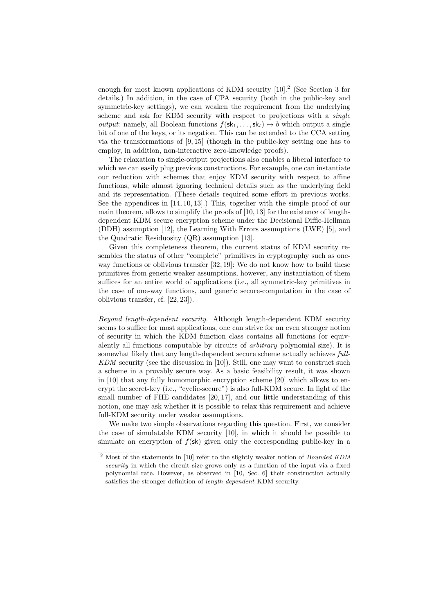enough for most known applications of KDM security  $[10]$ <sup>2</sup> (See Section 3 for details.) In addition, in the case of CPA security (both in the public-key and symmetric-key settings), we can weaken the requirement from the underlying scheme and ask for KDM security with respect to projections with a *single output*: namely, all Boolean functions  $f(\mathsf{sk}_1, \ldots, \mathsf{sk}_t) \mapsto b$  which output a single bit of one of the keys, or its negation. This can be extended to the CCA setting via the transformations of [9, 15] (though in the public-key setting one has to employ, in addition, non-interactive zero-knowledge proofs).

The relaxation to single-output projections also enables a liberal interface to which we can easily plug previous constructions. For example, one can instantiate our reduction with schemes that enjoy KDM security with respect to affine functions, while almost ignoring technical details such as the underlying field and its representation. (These details required some effort in previous works. See the appendices in [14, 10, 13].) This, together with the simple proof of our main theorem, allows to simplify the proofs of [10, 13] for the existence of lengthdependent KDM secure encryption scheme under the Decisional Diffie-Hellman (DDH) assumption [12], the Learning With Errors assumptions (LWE) [5], and the Quadratic Residuosity (QR) assumption [13].

Given this completeness theorem, the current status of KDM security resembles the status of other "complete" primitives in cryptography such as oneway functions or oblivious transfer [32, 19]: We do not know how to build these primitives from generic weaker assumptions, however, any instantiation of them suffices for an entire world of applications (i.e., all symmetric-key primitives in the case of one-way functions, and generic secure-computation in the case of oblivious transfer, cf. [22, 23]).

*Beyond length-dependent security.* Although length-dependent KDM security seems to suffice for most applications, one can strive for an even stronger notion of security in which the KDM function class contains all functions (or equivalently all functions computable by circuits of *arbitrary* polynomial size). It is somewhat likely that any length-dependent secure scheme actually achieves *full-KDM* security (see the discussion in [10]). Still, one may want to construct such a scheme in a provably secure way. As a basic feasibility result, it was shown in [10] that any fully homomorphic encryption scheme [20] which allows to encrypt the secret-key (i.e., "cyclic-secure") is also full-KDM secure. In light of the small number of FHE candidates [20, 17], and our little understanding of this notion, one may ask whether it is possible to relax this requirement and achieve full-KDM security under weaker assumptions.

We make two simple observations regarding this question. First, we consider the case of simulatable KDM security [10], in which it should be possible to simulate an encryption of  $f(\mathsf{sk})$  given only the corresponding public-key in a

<sup>2</sup> Most of the statements in [10] refer to the slightly weaker notion of *Bounded KDM security* in which the circuit size grows only as a function of the input via a fixed polynomial rate. However, as observed in [10, Sec. 6] their construction actually satisfies the stronger definition of *length-dependent* KDM security.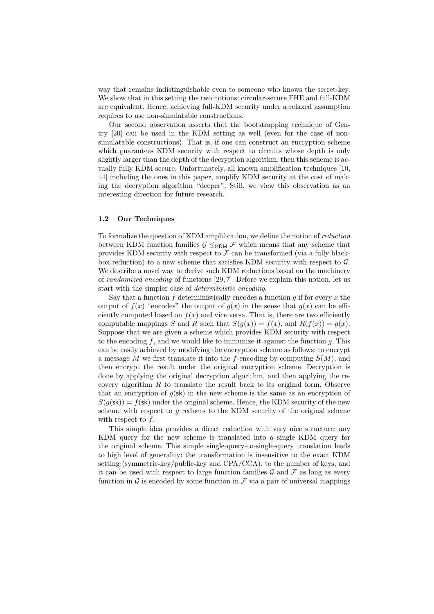way that remains indistinguishable even to someone who knows the secret-key. We show that in this setting the two notions: circular-secure FHE and full-KDM are equivalent. Hence, achieving full-KDM security under a relaxed assumption requires to use non-simulatable constructions.

Our second observation asserts that the bootstrapping technique of Gentry [20] can be used in the KDM setting as well (even for the case of nonsimulatable constructions). That is, if one can construct an encryption scheme which guarantees KDM security with respect to circuits whose depth is only slightly larger than the depth of the decryption algorithm, then this scheme is actually fully KDM secure. Unfortunately, all known amplification techniques [10, 14] including the ones in this paper, amplify KDM security at the cost of making the decryption algorithm "deeper". Still, we view this observation as an interesting direction for future research.

### **1.2 Our Techniques**

To formalize the question of KDM amplification, we define the notion of *reduction* between KDM function families  $\mathcal{G} \leq_{\sf KDM} \mathcal{F}$  which means that any scheme that provides KDM security with respect to  $\mathcal F$  can be transformed (via a fully blackbox reduction) to a new scheme that satisfies KDM security with respect to *G*. We describe a novel way to derive such KDM reductions based on the machinery of *randomized encoding* of functions [29, 7]. Before we explain this notion, let us start with the simpler case of *deterministic encoding*.

Say that a function  $f$  deterministically encodes a function  $g$  if for every  $x$  the output of  $f(x)$  "encodes" the output of  $g(x)$  in the sense that  $g(x)$  can be efficiently computed based on  $f(x)$  and vice versa. That is, there are two efficiently computable mappings *S* and *R* such that  $S(q(x)) = f(x)$ , and  $R(f(x)) = q(x)$ . Suppose that we are given a scheme which provides KDM security with respect to the encoding *f*, and we would like to immunize it against the function *g*. This can be easily achieved by modifying the encryption scheme as follows: to encrypt a message *M* we first translate it into the *f*-encoding by computing *S*(*M*), and then encrypt the result under the original encryption scheme. Decryption is done by applying the original decryption algorithm, and then applying the recovery algorithm *R* to translate the result back to its original form. Observe that an encryption of  $g(\mathsf{sk})$  in the new scheme is the same as an encryption of  $S(g(\mathsf{sk})) = f(\mathsf{sk})$  under the original scheme. Hence, the KDM security of the new scheme with respect to *g* reduces to the KDM security of the original scheme with respect to *f*.

This simple idea provides a direct reduction with very nice structure: any KDM query for the new scheme is translated into a single KDM query for the original scheme. This simple single-query-to-single-query translation leads to high level of generality: the transformation is insensitive to the exact KDM setting (symmetric-key/public-key and CPA/CCA), to the number of keys, and it can be used with respect to large function families  $\mathcal G$  and  $\mathcal F$  as long as every function in  $\mathcal G$  is encoded by some function in  $\mathcal F$  via a pair of universal mappings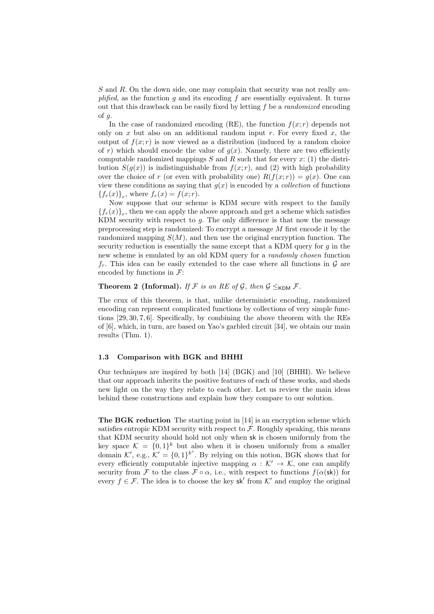*S* and *R*. On the down side, one may complain that security was not really *amplified*, as the function *g* and its encoding *f* are essentially equivalent. It turns out that this drawback can be easily fixed by letting *f* be a *randomized* encoding of *g*.

In the case of randomized encoding (RE), the function  $f(x; r)$  depends not only on *x* but also on an additional random input *r*. For every fixed *x*, the output of  $f(x; r)$  is now viewed as a distribution (induced by a random choice of r) which should encode the value of  $q(x)$ . Namely, there are two efficiently computable randomized mappings *S* and *R* such that for every *x*: (1) the distribution  $S(g(x))$  is indistinguishable from  $f(x; r)$ , and (2) with high probability over the choice of *r* (or even with probability one)  $R(f(x; r)) = g(x)$ . One can view these conditions as saying that  $q(x)$  is encoded by a *collection* of functions  ${f_r(x)}_r$ , where  $f_r(x) = f(x; r)$ .

Now suppose that our scheme is KDM secure with respect to the family  ${f_r(x)}_r$ , then we can apply the above approach and get a scheme which satisfies KDM security with respect to *g*. The only difference is that now the message preprocessing step is randomized: To encrypt a message *M* first encode it by the randomized mapping *S*(*M*), and then use the original encryption function. The security reduction is essentially the same except that a KDM query for *g* in the new scheme is emulated by an old KDM query for a *randomly chosen* function  $f_r$ . This idea can be easily extended to the case where all functions in  $\mathcal G$  are encoded by functions in *F*:

# **Theorem 2 (Informal).** *If*  $F$  *is an RE of G, then*  $G \leq_{KDM} F$ *.*

The crux of this theorem, is that, unlike deterministic encoding, randomized encoding can represent complicated functions by collections of very simple functions [29, 30, 7, 6]. Specifically, by combining the above theorem with the REs of [6], which, in turn, are based on Yao's garbled circuit [34], we obtain our main results (Thm. 1).

#### **1.3 Comparison with BGK and BHHI**

Our techniques are inspired by both [14] (BGK) and [10] (BHHI). We believe that our approach inherits the positive features of each of these works, and sheds new light on the way they relate to each other. Let us review the main ideas behind these constructions and explain how they compare to our solution.

**The BGK reduction** The starting point in [14] is an encryption scheme which satisfies entropic KDM security with respect to  $\mathcal F$ . Roughly speaking, this means that KDM security should hold not only when sk is chosen uniformly from the key space  $\mathcal{K} = \{0,1\}^k$  but also when it is chosen uniformly from a smaller domain  $K'$ , e.g.,  $K' = \{0,1\}^{k^{\varepsilon}}$ . By relying on this notion, BGK shows that for every efficiently computable injective mapping  $\alpha : \mathcal{K}' \to \mathcal{K}$ , one can amplify security from *F* to the class  $\mathcal{F} \circ \alpha$ , i.e., with respect to functions  $f(\alpha(\mathsf{sk}))$  for every  $f \in \mathcal{F}$ . The idea is to choose the key sk' from  $\mathcal{K}'$  and employ the original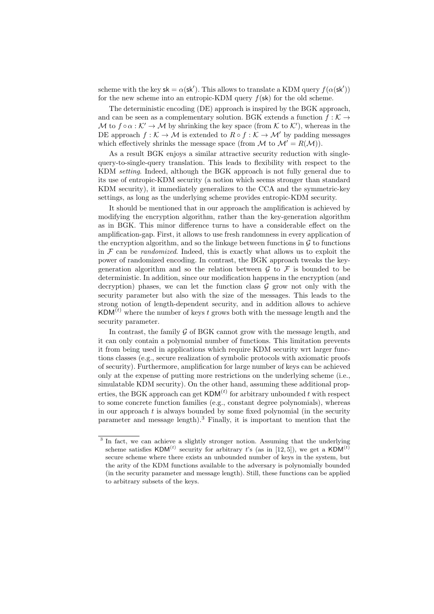scheme with the key sk =  $\alpha$ (sk<sup>'</sup>). This allows to translate a KDM query  $f(\alpha(\mathsf{sk}'))$ for the new scheme into an entropic-KDM query  $f(\mathsf{sk})$  for the old scheme.

The deterministic encoding (DE) approach is inspired by the BGK approach, and can be seen as a complementary solution. BGK extends a function  $f : \mathcal{K} \to$ *M* to  $f \circ \alpha : \mathcal{K}' \to \mathcal{M}$  by shrinking the key space (from  $\mathcal{K}$  to  $\mathcal{K}'$ ), whereas in the DE approach  $f: K \to M$  is extended to  $R \circ f: K \to M'$  by padding messages which effectively shrinks the message space (from  $\mathcal{M}$  to  $\mathcal{M}' = R(\mathcal{M})$ ).

As a result BGK enjoys a similar attractive security reduction with singlequery-to-single-query translation. This leads to flexibility with respect to the KDM *setting*. Indeed, although the BGK approach is not fully general due to its use of entropic-KDM security (a notion which seems stronger than standard KDM security), it immediately generalizes to the CCA and the symmetric-key settings, as long as the underlying scheme provides entropic-KDM security.

It should be mentioned that in our approach the amplification is achieved by modifying the encryption algorithm, rather than the key-generation algorithm as in BGK. This minor difference turns to have a considerable effect on the amplification-gap. First, it allows to use fresh randomness in every application of the encryption algorithm, and so the linkage between functions in  $\mathcal G$  to functions in *F* can be *randomized*. Indeed, this is exactly what allows us to exploit the power of randomized encoding. In contrast, the BGK approach tweaks the keygeneration algorithm and so the relation between  $\mathcal G$  to  $\mathcal F$  is bounded to be deterministic. In addition, since our modification happens in the encryption (and decryption) phases, we can let the function class  $G$  grow not only with the security parameter but also with the size of the messages. This leads to the strong notion of length-dependent security, and in addition allows to achieve  $KDM^{(t)}$  where the number of keys *t* grows both with the message length and the security parameter.

In contrast, the family *G* of BGK cannot grow with the message length, and it can only contain a polynomial number of functions. This limitation prevents it from being used in applications which require KDM security wrt larger functions classes (e.g., secure realization of symbolic protocols with axiomatic proofs of security). Furthermore, amplification for large number of keys can be achieved only at the expense of putting more restrictions on the underlying scheme (i.e., simulatable KDM security). On the other hand, assuming these additional properties, the BGK approach can get  $KDM^{(t)}$  for arbitrary unbounded *t* with respect to some concrete function families (e.g., constant degree polynomials), whereas in our approach *t* is always bounded by some fixed polynomial (in the security parameter and message length).<sup>3</sup> Finally, it is important to mention that the

<sup>&</sup>lt;sup>3</sup> In fact, we can achieve a slightly stronger notion. Assuming that the underlying scheme satisfies  $KDM^{(t)}$  security for arbitrary *t*'s (as in [12, 5]), we get a  $KDM^{(t)}$ secure scheme where there exists an unbounded number of keys in the system, but the arity of the KDM functions available to the adversary is polynomially bounded (in the security parameter and message length). Still, these functions can be applied to arbitrary subsets of the keys.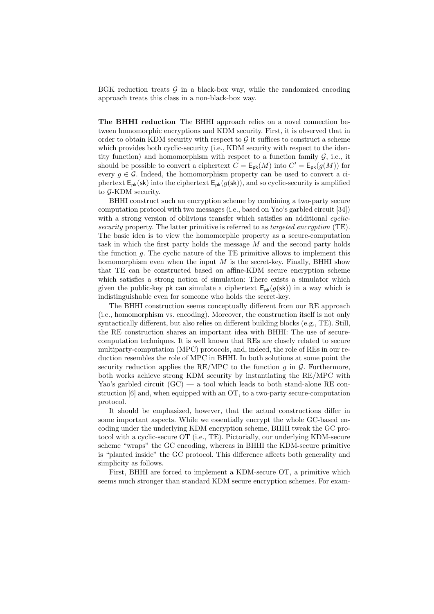BGK reduction treats  $\mathcal G$  in a black-box way, while the randomized encoding approach treats this class in a non-black-box way.

**The BHHI reduction** The BHHI approach relies on a novel connection between homomorphic encryptions and KDM security. First, it is observed that in order to obtain KDM security with respect to  $G$  it suffices to construct a scheme which provides both cyclic-security (i.e., KDM security with respect to the identity function) and homomorphism with respect to a function family  $G$ , i.e., it should be possible to convert a ciphertext  $C = \mathsf{E}_{\mathsf{pk}}(M)$  into  $C' = \mathsf{E}_{\mathsf{pk}}(g(M))$  for every  $g \in \mathcal{G}$ . Indeed, the homomorphism property can be used to convert a ciphertext  $E_{pk}(sk)$  into the ciphertext  $E_{pk}(g(sk))$ , and so cyclic-security is amplified to *G*-KDM security.

BHHI construct such an encryption scheme by combining a two-party secure computation protocol with two messages (i.e., based on Yao's garbled circuit [34]) with a strong version of oblivious transfer which satisfies an additional *cyclicsecurity* property. The latter primitive is referred to as *targeted encryption* (TE). The basic idea is to view the homomorphic property as a secure-computation task in which the first party holds the message *M* and the second party holds the function *g*. The cyclic nature of the TE primitive allows to implement this homomorphism even when the input *M* is the secret-key. Finally, BHHI show that TE can be constructed based on affine-KDM secure encryption scheme which satisfies a strong notion of simulation: There exists a simulator which given the public-key pk can simulate a ciphertext  $E_{nk}(q(sk))$  in a way which is indistinguishable even for someone who holds the secret-key.

The BHHI construction seems conceptually different from our RE approach (i.e., homomorphism vs. encoding). Moreover, the construction itself is not only syntactically different, but also relies on different building blocks (e.g., TE). Still, the RE construction shares an important idea with BHHI: The use of securecomputation techniques. It is well known that REs are closely related to secure multiparty-computation (MPC) protocols, and, indeed, the role of REs in our reduction resembles the role of MPC in BHHI. In both solutions at some point the security reduction applies the  $RE/MPC$  to the function  $g$  in  $G$ . Furthermore, both works achieve strong KDM security by instantiating the RE/MPC with Yao's garbled circuit  $(GC)$  — a tool which leads to both stand-alone RE construction [6] and, when equipped with an OT, to a two-party secure-computation protocol.

It should be emphasized, however, that the actual constructions differ in some important aspects. While we essentially encrypt the whole GC-based encoding under the underlying KDM encryption scheme, BHHI tweak the GC protocol with a cyclic-secure OT (i.e., TE). Pictorially, our underlying KDM-secure scheme "wraps" the GC encoding, whereas in BHHI the KDM-secure primitive is "planted inside" the GC protocol. This difference affects both generality and simplicity as follows.

First, BHHI are forced to implement a KDM-secure OT, a primitive which seems much stronger than standard KDM secure encryption schemes. For exam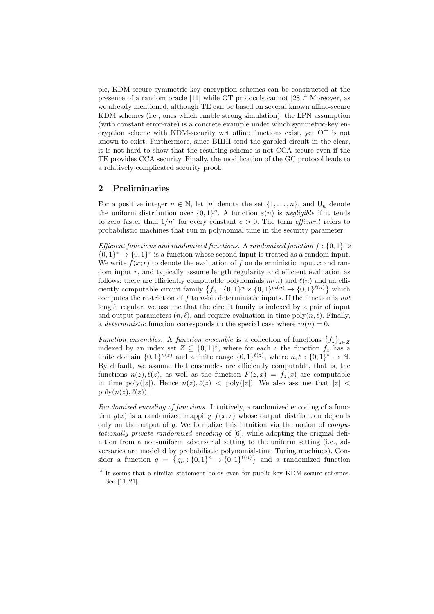ple, KDM-secure symmetric-key encryption schemes can be constructed at the presence of a random oracle [11] while OT protocols cannot [28].<sup>4</sup> Moreover, as we already mentioned, although TE can be based on several known affine-secure KDM schemes (i.e., ones which enable strong simulation), the LPN assumption (with constant error-rate) is a concrete example under which symmetric-key encryption scheme with KDM-security wrt affine functions exist, yet OT is not known to exist. Furthermore, since BHHI send the garbled circuit in the clear, it is not hard to show that the resulting scheme is not CCA-secure even if the TE provides CCA security. Finally, the modification of the GC protocol leads to a relatively complicated security proof.

# **2 Preliminaries**

For a positive integer  $n \in \mathbb{N}$ , let [*n*] denote the set  $\{1, \ldots, n\}$ , and  $\mathsf{U}_n$  denote the uniform distribution over  $\{0,1\}^n$ . A function  $\varepsilon(n)$  is *negligible* if it tends to zero faster than  $1/n^c$  for every constant  $c > 0$ . The term *efficient* refers to probabilistic machines that run in polynomial time in the security parameter.

*Efficient functions and randomized functions. A <i>randomized function*  $f : \{0,1\}^* \times$  $\{0,1\}^* \to \{0,1\}^*$  is a function whose second input is treated as a random input. We write  $f(x; r)$  to denote the evaluation of f on deterministic input x and random input *r*, and typically assume length regularity and efficient evaluation as follows: there are efficiently computable polynomials  $m(n)$  and  $\ell(n)$  and an efficiently computable circuit family  $\{f_n: \{0,1\}^n \times \{0,1\}^{m(n)} \to \{0,1\}^{\ell(n)}\}$  which computes the restriction of *f* to *n*-bit deterministic inputs. If the function is *not* length regular, we assume that the circuit family is indexed by a pair of input and output parameters  $(n, \ell)$ , and require evaluation in time poly $(n, \ell)$ . Finally, a *deterministic* function corresponds to the special case where  $m(n) = 0$ .

*Function ensembles.* A *function ensemble* is a collection of functions  $\{f_z\}_{z \in Z}$ indexed by an index set  $Z \subseteq \{0,1\}^*$ , where for each *z* the function  $f_z$  has a finite domain  $\{0,1\}^{n(z)}$  and a finite range  $\{0,1\}^{\ell(z)}$ , where  $n, \ell : \{0,1\}^* \to \mathbb{N}$ . By default, we assume that ensembles are efficiently computable, that is, the functions  $n(z)$ ,  $\ell(z)$ , as well as the function  $F(z, x) = f_z(x)$  are computable in time poly(|*z*|). Hence  $n(z)$ ,  $\ell(z) < \text{poly}(|z|)$ . We also assume that  $|z| <$  $poly(n(z), \ell(z)).$ 

*Randomized encoding of functions.* Intuitively, a randomized encoding of a function  $g(x)$  is a randomized mapping  $f(x; r)$  whose output distribution depends only on the output of *g*. We formalize this intuition via the notion of *computationally private randomized encoding* of [6], while adopting the original definition from a non-uniform adversarial setting to the uniform setting (i.e., adversaries are modeled by probabilistic polynomial-time Turing machines). Consider a function  $g = \{g_n : \{0,1\}^n \to \{0,1\}^{\ell(n)}\}$  and a randomized function

<sup>&</sup>lt;sup>4</sup> It seems that a similar statement holds even for public-key KDM-secure schemes. See [11, 21].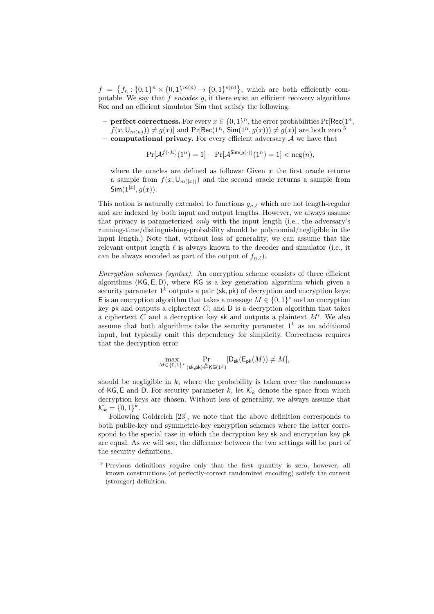$f = \{f_n : \{0,1\}^n \times \{0,1\}^{m(n)} \to \{0,1\}^{s(n)}\}$ , which are both efficiently computable. We say that *f encodes g*, if there exist an efficient recovery algorithms Rec and an efficient simulator Sim that satisfy the following:

- $\mathbf{P} = \textbf{perfect correctness.}$  For every  $x \in \{0, 1\}^n$ , the error probabilities  $\Pr[\text{Rec}(1^n, \dots, 1^n)]$  $f(x, \mathsf{U}_{m(n)}) \neq g(x)$ ] and  $\Pr[\text{Rec}(1^n, \text{Sim}(1^n, g(x))) \neq g(x)]$  are both zero.<sup>5</sup>
- **– computational privacy.** For every efficient adversary *A* we have that

$$
\Pr[\mathcal{A}^{f(\cdot;\mathsf{U})}(1^n) = 1] - \Pr[\mathcal{A}^{\mathsf{Sim}(g(\cdot))}(1^n) = 1] < \text{neg}(n),
$$

where the oracles are defined as follows: Given *x* the first oracle returns a sample from  $f(x; U_{m(|x|)})$  and the second oracle returns a sample from  $\mathsf{Sim}(1^{|x|}, g(x)).$ 

This notion is naturally extended to functions  $g_{n,\ell}$  which are not length-regular and are indexed by both input and output lengths. However, we always assume that privacy is parameterized *only* with the input length (i.e., the adversary's running-time/distinguishing-probability should be polynomial/negligible in the input length.) Note that, without loss of generality, we can assume that the relevant output length *ℓ* is always known to the decoder and simulator (i.e., it can be always encoded as part of the output of  $f_{n,\ell}$ ).

*Encryption schemes (syntax).* An encryption scheme consists of three efficient algorithms (KG*,* E*,* D), where KG is a key generation algorithm which given a security parameter  $1^k$  outputs a pair (sk, pk) of decryption and encryption keys; E is an encryption algorithm that takes a message  $M \in \{0,1\}^*$  and an encryption key pk and outputs a ciphertext  $C$ ; and  $D$  is a decryption algorithm that takes a ciphertext *C* and a decryption key sk and outputs a plaintext *M′* . We also assume that both algorithms take the security parameter  $1^k$  as an additional input, but typically omit this dependency for simplicity. Correctness requires that the decryption error

$$
\max_{M\in\{0,1\}^*}\Pr_{(\mathsf{sk},\mathsf{pk})\stackrel{R}{\leftarrow}\mathsf{KG}(1^k)}[\mathsf{D}_{\mathsf{sk}}(\mathsf{E}_{\mathsf{pk}}(M))\neq M],
$$

should be negligible in *k*, where the probability is taken over the randomness of  $KG$ , E and D. For security parameter  $k$ , let  $K_k$  denote the space from which decryption keys are chosen. Without loss of generality, we always assume that  $\mathcal{K}_k = \{0, 1\}^k$ .

Following Goldreich [23], we note that the above definition corresponds to both public-key and symmetric-key encryption schemes where the latter correspond to the special case in which the decryption key sk and encryption key pk are equal. As we will see, the difference between the two settings will be part of the security definitions.

<sup>&</sup>lt;sup>5</sup> Previous definitions require only that the first quantity is zero, however, all known constructions (of perfectly-correct randomized encoding) satisfy the current (stronger) definition.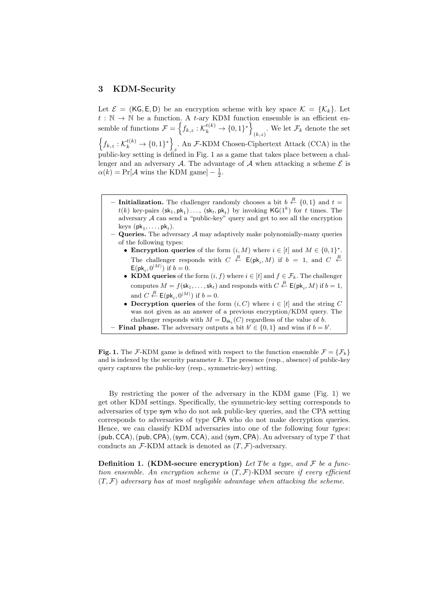## **3 KDM-Security**

Let  $\mathcal{E} = (K\mathsf{G}, \mathsf{E}, \mathsf{D})$  be an encryption scheme with key space  $\mathcal{K} = \{K_k\}$ . Let  $t : \mathbb{N} \to \mathbb{N}$  be a function. A *t*-ary KDM function ensemble is an efficient ensemble of functions  $\mathcal{F} = \left\{ f_{k,z} : \mathcal{K}_k^{t(k)} \to \{0,1\}^* \right\}$ . We let  $\mathcal{F}_k$  denote the set  $\left\{ f_{k,z} : \mathcal{K}_k^{t(k)} \to \{0,1\}^* \right\}$ *z* . An *F*-KDM Chosen-Ciphertext Attack (CCA) in the public-key setting is defined in Fig. 1 as a game that takes place between a challenger and an adversary  $\mathcal{A}$ . The advantage of  $\mathcal{A}$  when attacking a scheme  $\mathcal{E}$  is  $\alpha(k) = \Pr[\mathcal{A} \text{ wins the KDM game}] - \frac{1}{2}.$ 

- **− Initialization.** The challenger randomly chooses a bit  $b \stackrel{R}{\leftarrow} \{0,1\}$  and  $t =$  $t(k)$  key-pairs  $(\mathsf{sk}_1, \mathsf{pk}_1) \ldots$ ,  $(\mathsf{sk}_t, \mathsf{pk}_t)$  by invoking  $\mathsf{KG}(1^k)$  for  $t$  times. The adversary *A* can send a "public-key" query and get to see all the encryption  $\text{keys } (\textsf{pk}_1, \ldots, \textsf{pk}_t).$
- **– Queries.** The adversary *A* may adaptively make polynomially-many queries of the following types:
	- **Encryption queries** of the form  $(i, M)$  where  $i \in [t]$  and  $M \in \{0, 1\}^*$ . The challenger responds with  $C \leftarrow R$   $\mathsf{E}(\mathsf{pk}_i, M)$  if  $b = 1$ , and  $C \leftarrow R$  $E(\mathsf{pk}_i, 0^{|M|})$  if  $b = 0$ .
	- **KDM queries** of the form  $(i, f)$  where  $i \in [t]$  and  $f \in \mathcal{F}_k$ . The challenger computes  $M = f(\mathsf{sk}_1, \ldots, \mathsf{sk}_t)$  and responds with  $C \stackrel{R}{\leftarrow} \mathsf{E}(\mathsf{pk}_i, M)$  if  $b = 1$ , and  $C \stackrel{R}{\leftarrow} \mathsf{E}(\mathsf{pk}_i, 0^{|M|})$  if  $b = 0$ .
	- **Decryption queries** of the form  $(i, C)$  where  $i \in [t]$  and the string *C* was not given as an answer of a previous encryption/KDM query. The challenger responds with  $M = D_{sk_i}(C)$  regardless of the value of *b*.

**– Final phase.** The adversary outputs a bit  $b' \in \{0, 1\}$  and wins if  $b = b'$ .

**Fig. 1.** The *F*-KDM game is defined with respect to the function ensemble  $\mathcal{F} = {\mathcal{F}_k}$ and is indexed by the security parameter *k*. The presence (resp., absence) of public-key query captures the public-key (resp., symmetric-key) setting.

By restricting the power of the adversary in the KDM game (Fig. 1) we get other KDM settings. Specifically, the symmetric-key setting corresponds to adversaries of type sym who do not ask public-key queries, and the CPA setting corresponds to adversaries of type CPA who do not make decryption queries. Hence, we can classify KDM adversaries into one of the following four *types*: (pub*,* CCA)*,*(pub*,* CPA)*,*(sym*,* CCA)*,* and (sym*,* CPA). An adversary of type *T* that conducts an  $\mathcal{F}\text{-}\mathrm{KDM}$  attack is denoted as  $(T,\mathcal{F})$ -adversary.

**Definition 1. (KDM-secure encryption)** *Let Tbe a type, and F be a function ensemble. An encryption scheme is* (*T, F*)*-*KDM secure *if every efficient*  $(T, \mathcal{F})$  *adversary has at most negligible advantage when attacking the scheme.*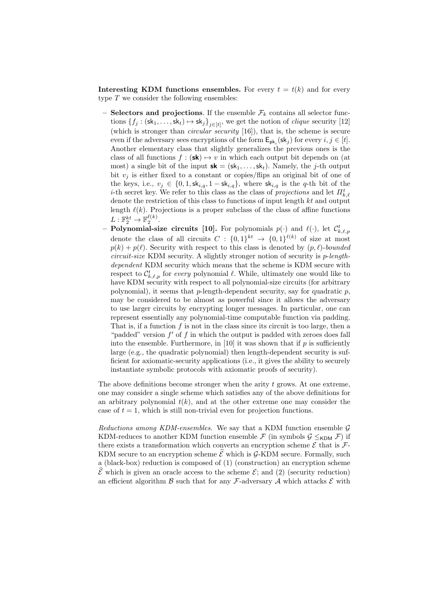**Interesting KDM functions ensembles.** For every  $t = t(k)$  and for every type *T* we consider the following ensembles:

- **– Selectors and projections. If the ensemble**  $\mathcal{F}_k$  **contains all selector func**tions  ${f_j : (sk_1, \ldots, sk_t) \mapsto sk_j}$ , we get the notion of *clique* security [12] (which is stronger than *circular security* [16]), that is, the scheme is secure even if the adversary sees encryptions of the form  $\mathsf{E}_{\mathsf{pk}_i}(\mathsf{sk}_j)$  for every  $i, j \in [t]$ . Another elementary class that slightly generalizes the previous ones is the class of all functions  $f : (\mathbf{sk}) \mapsto v$  in which each output bit depends on (at most) a single bit of the input  $sk = (sk_1, \ldots, sk_t)$ . Namely, the *j*-th output bit  $v_j$  is either fixed to a constant or copies/flips an original bit of one of the keys, i.e.,  $v_j \in \{0, 1, sk_{i,q}, 1 - sk_{i,q}\}$ , where  $sk_{i,q}$  is the *q*-th bit of the *i*-th secret key. We refer to this class as the class of *projections* and let  $\Pi_{k,\ell}^t$ denote the restriction of this class to functions of input length *kt* and output length  $\ell(k)$ . Projections is a proper subclass of the class of affine functions  $L: \mathbb{F}_2^{kt} \to \mathbb{F}_2^{\ell(k)}$ .
- **Polynomial-size circuits [10].** For polynomials  $p(\cdot)$  and  $\ell(\cdot)$ , let  $\mathcal{C}^t_{k,\ell,p}$ denote the class of all circuits  $C: \{0,1\}^{kt} \rightarrow \{0,1\}^{\ell(k)}$  of size at most  $p(k) + p(\ell)$ . Security with respect to this class is denoted by  $(p, \ell)$ -*bounded circuit-size* KDM security. A slightly stronger notion of security is *p*-*lengthdependent* KDM security which means that the scheme is KDM secure with respect to  $\mathcal{C}_{k,\ell,p}^t$  for *every* polynomial  $\ell$ . While, ultimately one would like to have KDM security with respect to all polynomial-size circuits (for arbitrary polynomial), it seems that *p*-length-dependent security, say for quadratic *p*, may be considered to be almost as powerful since it allows the adversary to use larger circuits by encrypting longer messages. In particular, one can represent essentially any polynomial-time computable function via padding. That is, if a function  $f$  is not in the class since its circuit is too large, then a "padded" version  $f'$  of  $f$  in which the output is padded with zeroes does fall into the ensemble. Furthermore, in  $[10]$  it was shown that if  $p$  is sufficiently large (e.g., the quadratic polynomial) then length-dependent security is sufficient for axiomatic-security applications (i.e., it gives the ability to securely instantiate symbolic protocols with axiomatic proofs of security).

The above definitions become stronger when the arity *t* grows. At one extreme, one may consider a single scheme which satisfies any of the above definitions for an arbitrary polynomial  $t(k)$ , and at the other extreme one may consider the case of  $t = 1$ , which is still non-trivial even for projection functions.

*Reductions among KDM-ensembles.* We say that a KDM function ensemble *G* KDM-reduces to another KDM function ensemble  $\mathcal{F}$  (in symbols  $\mathcal{G} \leq_{KDM} \mathcal{F}$ ) if there exists a transformation which converts an encryption scheme  $\mathcal E$  that is  $\mathcal F$ -KDM secure to an encryption scheme  $\mathcal{E}$  which is  $\mathcal{G}\text{-}\text{KDM}$  secure. Formally, such a (black-box) reduction is composed of (1) (construction) an encryption scheme  $\hat{\mathcal{E}}$  which is given an oracle access to the scheme  $\mathcal{E}$ ; and (2) (security reduction) an efficient algorithm  $\beta$  such that for any *F*-adversary  $\mathcal A$  which attacks  $\mathcal E$  with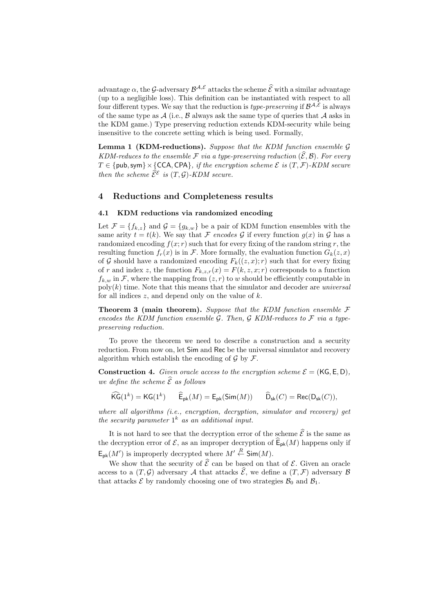advantage  $\alpha$ , the *G*-adversary  $\mathcal{B}^{\mathcal{A},\mathcal{E}}$  attacks the scheme  $\widehat{\mathcal{E}}$  with a similar advantage (up to a negligible loss). This definition can be instantiated with respect to all four different types. We say that the reduction is *type-preserving* if  $\mathcal{B}^{\mathcal{A}, \mathcal{E}}$  is always of the same type as  $A$  (i.e.,  $B$  always ask the same type of queries that  $A$  asks in the KDM game.) Type preserving reduction extends KDM-security while being insensitive to the concrete setting which is being used. Formally,

**Lemma 1 (KDM-reductions).** *Suppose that the KDM function ensemble G KDM-reduces to the ensemble*  $\mathcal F$  *via a type-preserving reduction*  $(\widehat{\mathcal{E}}, \mathcal{B})$ *. For every*  $T \in \{\text{pub}, \text{sym}\}\times \{\text{CCA}, \text{CPA}\}\$ , if the encryption scheme  $\mathcal{E}$  is  $(T, \mathcal{F})$ -KDM secure *then the scheme*  $\hat{\mathcal{E}}^{\mathcal{E}}$  *is*  $(T, \mathcal{G})$ *-KDM secure.* 

## **4 Reductions and Completeness results**

#### **4.1 KDM reductions via randomized encoding**

Let  $\mathcal{F} = \{f_{k,z}\}\$ and  $\mathcal{G} = \{g_{k,w}\}\$ be a pair of KDM function ensembles with the same arity  $t = t(k)$ . We say that *F* encodes *G* if every function  $g(x)$  in *G* has a randomized encoding  $f(x; r)$  such that for every fixing of the random string  $r$ , the resulting function  $f_r(x)$  is in *F*. More formally, the evaluation function  $G_k(z, x)$ of G should have a randomized encoding  $F_k((z, x); r)$  such that for every fixing of *r* and index *z*, the function  $F_{k,z,r}(x) = F(k, z, x; r)$  corresponds to a function  $f_{k,w}$  in  $\mathcal{F}$ , where the mapping from  $(z, r)$  to *w* should be efficiently computable in poly(*k*) time. Note that this means that the simulator and decoder are *universal* for all indices *z*, and depend only on the value of *k*.

**Theorem 3 (main theorem).** *Suppose that the KDM function ensemble F encodes the KDM function ensemble G. Then, G. KDM-reduces to*  $\mathcal F$  *via a typepreserving reduction.*

To prove the theorem we need to describe a construction and a security reduction. From now on, let Sim and Rec be the universal simulator and recovery algorithm which establish the encoding of  $\mathcal G$  by  $\mathcal F$ .

**Construction 4.** *Given oracle access to the encryption scheme*  $\mathcal{E} = (KG, E, D)$ *, we define the scheme*  $\widehat{\mathcal{E}}$  *as follows* 

$$
\widehat{\mathsf{KG}}(1^k) = \mathsf{KG}(1^k) \qquad \widehat{\mathsf{E}}_{\mathsf{pk}}(M) = \mathsf{E}_{\mathsf{pk}}(\mathsf{Sim}(M)) \qquad \widehat{\mathsf{D}}_{\mathsf{sk}}(C) = \mathsf{Rec}(\mathsf{D}_{\mathsf{sk}}(C)),
$$

*where all algorithms (i.e., encryption, decryption, simulator and recovery) get the security parameter*  $1^k$  *as an additional input.* 

It is not hard to see that the decryption error of the scheme  $\hat{\mathcal{E}}$  is the same as the decryption error of  $\mathcal{E}$ , as an improper decryption of  $\widehat{\mathsf{E}}_{\textsf{pk}}(M)$  happens only if  $\mathsf{E}_{\mathsf{pk}}(M')$  is improperly decrypted where  $M' \stackrel{R}{\leftarrow} \mathsf{Sim}(M)$ .

We show that the security of  $\hat{\mathcal{E}}$  can be based on that of  $\mathcal{E}$ . Given an oracle access to a  $(T, \mathcal{G})$  adversary *A* that attacks  $\widehat{\mathcal{E}}$ , we define a  $(T, \mathcal{F})$  adversary *B* that attacks  $\mathcal{E}$  by randomly choosing one of two strategies  $\mathcal{B}_0$  and  $\mathcal{B}_1$ .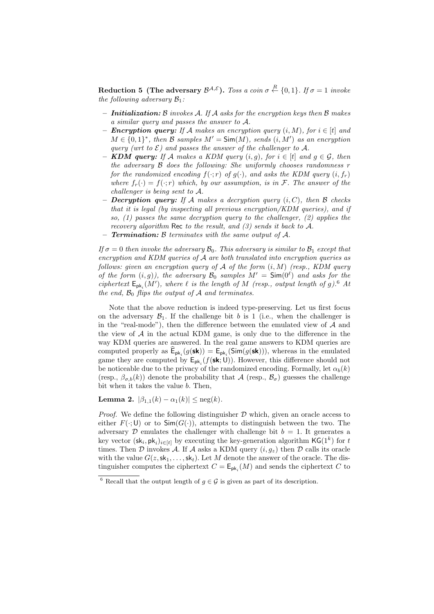$\textbf{Reduction 5 (The adversary }\mathcal{B}^{\mathcal{A},\mathcal{E}}). \textit{Toss a coin }\sigma \overset{R}{\leftarrow} \{0,1\}. \textit{ If }\sigma=1 \textit{ invoke}$ *the following adversary*  $B_1$ *:* 

- **–** *Initialization: B invokes A. If A asks for the encryption keys then B makes a similar query and passes the answer to A.*
- *Encryption query:* If A makes an encryption query  $(i, M)$ , for  $i \in [t]$  and  $M \in \{0,1\}^*$ , then *B* samples  $M' = \textsf{Sim}(M)$ , sends  $(i, M')$  as an encryption *query (wrt to*  $\mathcal{E}$ ) and passes the answer of the challenger to  $\mathcal{A}$ .
- $\mathbf{F} = \mathbf{K} \mathbf{D} \mathbf{M}$  query: If A makes a KDM query  $(i, g)$ , for  $i \in [t]$  and  $g \in \mathcal{G}$ , then *the adversary B does the following: She uniformly chooses randomness r for the randomized encoding*  $f(\cdot; r)$  *of*  $g(\cdot)$ *, and asks the KDM query*  $(i, f_r)$ *where*  $f_r(\cdot) = f(\cdot; r)$  *which, by our assumption, is in*  $\mathcal{F}$ *. The answer of the challenger is being sent to A.*
- **–** *Decryption query: If A makes a decryption query* (*i, C*)*, then B checks that it is legal (by inspecting all previous encryption/KDM queries), and if so, (1) passes the same decryption query to the challenger, (2) applies the recovery algorithm* Rec *to the result, and (3) sends it back to A.*
- **–** *Termination: B terminates with the same output of A.*

 $I f \sigma = 0$  *then invoke the adversary*  $B_0$ *. This adversary is similar to*  $B_1$  *except that encryption and KDM queries of A are both translated into encryption queries as follows: given an encryption query of A of the form* (*i, M*) *(resp., KDM query of the form*  $(i, g)$ , the adversary  $\mathcal{B}_0$  samples  $M' = \textsf{Sim}(0^{\ell})$  and asks for the *ciphertext*  $E_{pk_i}(M')$ *, where*  $\ell$  *is the length of*  $M$  *(resp., output length of*  $g$ *).*<sup>6</sup> *At the end,*  $\mathcal{B}_0$  *flips the output of*  $\mathcal{A}$  *and terminates.* 

Note that the above reduction is indeed type-preserving. Let us first focus on the adversary  $\mathcal{B}_1$ . If the challenge bit *b* is 1 (i.e., when the challenger is in the "real-mode"), then the difference between the emulated view of *A* and the view of  $A$  in the actual KDM game, is only due to the difference in the way KDM queries are answered. In the real game answers to KDM queries are computed properly as  $\mathsf{E}_{\mathsf{pk}_i}(g(\mathsf{sk})) = \mathsf{E}_{\mathsf{pk}_i}(\mathsf{Sim}(g(\mathsf{sk})))$ , whereas in the emulated game they are computed by  $\mathsf{E}_{\mathsf{pk}_i}(f(\mathsf{sk};\mathsf{U}))$ . However, this difference should not be noticeable due to the privacy of the randomized encoding. Formally, let  $\alpha_b(k)$ (resp.,  $\beta_{\sigma,b}(k)$ ) denote the probability that *A* (resp.,  $\mathcal{B}_{\sigma}$ ) guesses the challenge bit when it takes the value *b*. Then,

**Lemma 2.**  $|\beta_{1,1}(k) - \alpha_1(k)| \leq \text{neg}(k)$ .

*Proof.* We define the following distinguisher  $D$  which, given an oracle access to either  $F(\cdot;U)$  or to  $\text{Sim}(G(\cdot))$ , attempts to distinguish between the two. The adversary  $D$  emulates the challenger with challenge bit  $b = 1$ . It generates a key vector  $(\mathsf{sk}_i, \mathsf{pk}_i)_{i \in [t]}$  by executing the key-generation algorithm  $\mathsf{KG}(1^k)$  for  $t$ times. Then  $D$  invokes  $A$ . If  $A$  asks a KDM query  $(i, g_z)$  then  $D$  calls its oracle with the value  $G(z, sk_1, \ldots, sk_t)$ . Let M denote the answer of the oracle. The distinguisher computes the ciphertext  $C = \mathsf{E}_{\mathsf{pk}_i}(M)$  and sends the ciphertext  $C$  to

<sup>&</sup>lt;sup>6</sup> Recall that the output length of  $g \in \mathcal{G}$  is given as part of its description.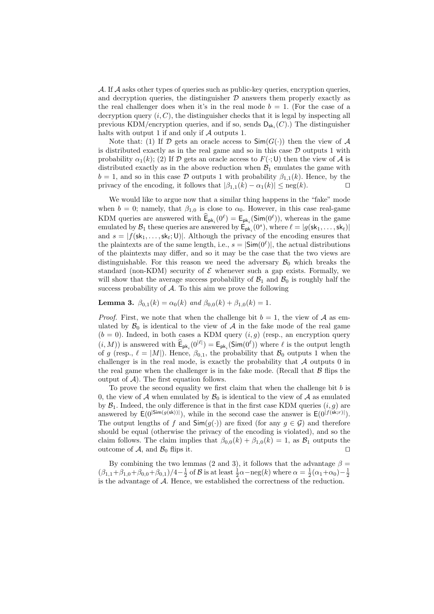*A*. If *A* asks other types of queries such as public-key queries, encryption queries, and decryption queries, the distinguisher *D* answers them properly exactly as the real challenger does when it's in the real mode  $b = 1$ . (For the case of a decryption query  $(i, C)$ , the distinguisher checks that it is legal by inspecting all previous KDM/encryption queries, and if so, sends  $D_{sk_i}(C)$ .) The distinguisher halts with output 1 if and only if *A* outputs 1.

Note that: (1) If  $D$  gets an oracle access to  $\textsf{Sim}(G(\cdot))$  then the view of A is distributed exactly as in the real game and so in this case  $D$  outputs 1 with probability  $\alpha_1(k)$ ; (2) If *D* gets an oracle access to  $F(\cdot; \mathsf{U})$  then the view of *A* is distributed exactly as in the above reduction when  $B_1$  emulates the game with  $b = 1$ , and so in this case *D* outputs 1 with probability  $\beta_{1,1}(k)$ . Hence, by the privacy of the encoding, it follows that  $|\beta_{1,1}(k) - \alpha_1(k)| \leq \text{neg}(k)$ .  $\Box$ 

We would like to argue now that a similar thing happens in the "fake" mode when  $b = 0$ ; namely, that  $\beta_{1,0}$  is close to  $\alpha_0$ . However, in this case real-game KDM queries are answered with  $\widehat{\mathsf{E}}_{\mathsf{pk}_i}(0^{\ell}) = \mathsf{E}_{\mathsf{pk}_i}(\mathsf{Sim}(0^{\ell}))$ , whereas in the game emulated by  $\mathcal{B}_1$  these queries are answered by  $\mathsf{E}_{\mathsf{pk}_i}(0^s)$ , where  $\ell = |g(\mathsf{sk}_1, \ldots, \mathsf{sk}_t)|$ and  $s = |f(\mathsf{sk}_1, \ldots, \mathsf{sk}_t; \mathsf{U})|$ . Although the privacy of the encoding ensures that the plaintexts are of the same length, i.e.,  $s = |\textsf{Sim}(0^{\ell})|$ , the actual distributions of the plaintexts may differ, and so it may be the case that the two views are distinguishable. For this reason we need the adversary  $\mathcal{B}_0$  which breaks the standard (non-KDM) security of  $\mathcal E$  whenever such a gap exists. Formally, we will show that the average success probability of  $B_1$  and  $B_0$  is roughly half the success probability of *A*. To this aim we prove the following

**Lemma 3.**  $\beta_{0,1}(k) = \alpha_0(k)$  and  $\beta_{0,0}(k) + \beta_{1,0}(k) = 1$ .

*Proof.* First, we note that when the challenge bit  $b = 1$ , the view of A as emulated by  $\mathcal{B}_0$  is identical to the view of  $\mathcal A$  in the fake mode of the real game  $(b = 0)$ . Indeed, in both cases a KDM query  $(i, g)$  (resp., an encryption query  $(i, M)$ ) is answered with  $\widehat{\mathsf{E}}_{\mathsf{pk}_i}(0^{|\ell|}) = \mathsf{E}_{\mathsf{pk}_i}(\mathsf{Sim}(0^{\ell}))$  where  $\ell$  is the output length of *g* (resp.,  $\ell = |M|$ ). Hence,  $\beta_{0,1}$ , the probability that  $\mathcal{B}_0$  outputs 1 when the challenger is in the real mode, is exactly the probability that *A* outputs 0 in the real game when the challenger is in the fake mode. (Recall that  $\beta$  flips the output of  $A$ ). The first equation follows.

To prove the second equality we first claim that when the challenge bit *b* is 0, the view of A when emulated by  $\mathcal{B}_0$  is identical to the view of A as emulated by  $\mathcal{B}_1$ . Indeed, the only difference is that in the first case KDM queries  $(i, g)$  are answered by  $E(0^{|Sim(g(sk))|})$ , while in the second case the answer is  $E(0^{|f(sk;r)|})$ . The output lengths of *f* and  $\textsf{Sim}(g(\cdot))$  are fixed (for any  $g \in \mathcal{G}$ ) and therefore should be equal (otherwise the privacy of the encoding is violated), and so the claim follows. The claim implies that  $\beta_{0,0}(k) + \beta_{1,0}(k) = 1$ , as  $\mathcal{B}_1$  outputs the outcome of *A*, and  $\mathcal{B}_0$  flips it.  $□$ 

By combining the two lemmas (2 and 3), it follows that the advantage  $\beta =$  $(\beta_{1,1}+\beta_{1,0}+\beta_{0,0}+\beta_{0,1})/4-\frac{1}{2}$  of *B* is at least  $\frac{1}{2}\alpha-\text{neg}(k)$  where  $\alpha=\frac{1}{2}(\alpha_1+\alpha_0)-\frac{1}{2}$ is the advantage of *A*. Hence, we established the correctness of the reduction.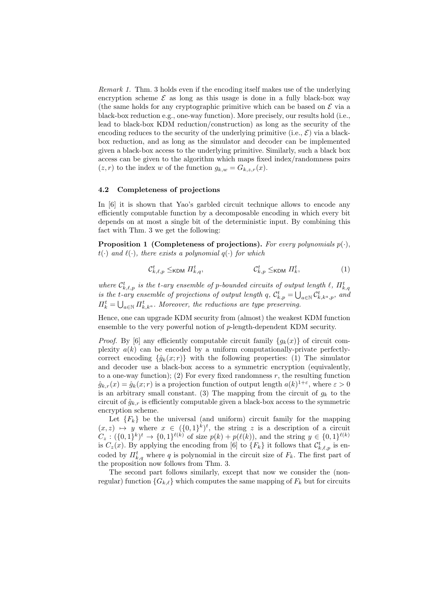*Remark 1.* Thm. 3 holds even if the encoding itself makes use of the underlying encryption scheme  $\mathcal E$  as long as this usage is done in a fully black-box way (the same holds for any cryptographic primitive which can be based on  $\mathcal E$  via a black-box reduction e.g., one-way function). More precisely, our results hold (i.e., lead to black-box KDM reduction/construction) as long as the security of the encoding reduces to the security of the underlying primitive (i.e.,  $\mathcal{E}$ ) via a blackbox reduction, and as long as the simulator and decoder can be implemented given a black-box access to the underlying primitive. Similarly, such a black box access can be given to the algorithm which maps fixed index/randomness pairs  $(z, r)$  to the index *w* of the function  $g_{k,w} = G_{k,z,r}(x)$ .

#### **4.2 Completeness of projections**

In [6] it is shown that Yao's garbled circuit technique allows to encode any efficiently computable function by a decomposable encoding in which every bit depends on at most a single bit of the deterministic input. By combining this fact with Thm. 3 we get the following:

**Proposition 1** (Completeness of projections). For every polynomials  $p(\cdot)$ ,  $t(\cdot)$  *and*  $\ell(\cdot)$ *, there exists a polynomial*  $q(\cdot)$  *for which* 

$$
\mathcal{C}_{k,\ell,p}^t \leq_{\text{KDM}} \Pi_{k,q}^t, \qquad \qquad \mathcal{C}_{k,p}^t \leq_{\text{KDM}} \Pi_k^t, \tag{1}
$$

where  $C_{k,\ell,p}^t$  is the t-ary ensemble of p-bounded circuits of output length  $\ell$ ,  $\Pi_{k,q}^t$  is the t-ary ensemble of projections of output length  $q$ ,  $C_{k,p}^t = \bigcup_{a \in \mathbb{N}} C_{k,k^a,p}^t$ , and  $\Pi_k^t = \bigcup_{a \in \mathbb{N}} \Pi_{k,k^a}^t$ *. Moreover, the reductions are type preserving.* 

Hence, one can upgrade KDM security from (almost) the weakest KDM function ensemble to the very powerful notion of *p*-length-dependent KDM security.

*Proof.* By [6] any efficiently computable circuit family  ${g_k(x)}$  of circuit complexity  $a(k)$  can be encoded by a uniform computationally-private perfectlycorrect encoding  $\{\hat{q}_k(x; r)\}\$  with the following properties: (1) The simulator and decoder use a black-box access to a symmetric encryption (equivalently, to a one-way function); (2) For every fixed randomness  $r$ , the resulting function  $\hat{g}_{k,r}(x) = \hat{g}_k(x; r)$  is a projection function of output length  $a(k)^{1+\varepsilon}$ , where  $\varepsilon > 0$ is an arbitrary small constant. (3) The mapping from the circuit of  $g_k$  to the circuit of  $\hat{g}_{k,r}$  is efficiently computable given a black-box access to the symmetric encryption scheme.

Let  ${F_k}$  be the universal (and uniform) circuit family for the mapping  $(x, z) \mapsto y$  where  $x \in (\{0, 1\}^k)^t$ , the string z is a description of a circuit  $C_z: (\{0,1\}^k)^t \to \{0,1\}^{\ell(k)}$  of size  $p(k) + p(\ell(k))$ , and the string  $y \in \{0,1\}^{\ell(k)}$ is  $C_z(x)$ . By applying the encoding from [6] to  $\{F_k\}$  it follows that  $C^t_{k, \ell, p}$  is encoded by  $\Pi_{k,q}^t$  where *q* is polynomial in the circuit size of  $F_k$ . The first part of the proposition now follows from Thm. 3.

The second part follows similarly, except that now we consider the (nonregular) function  ${G_{k,\ell}}$  which computes the same mapping of  $F_k$  but for circuits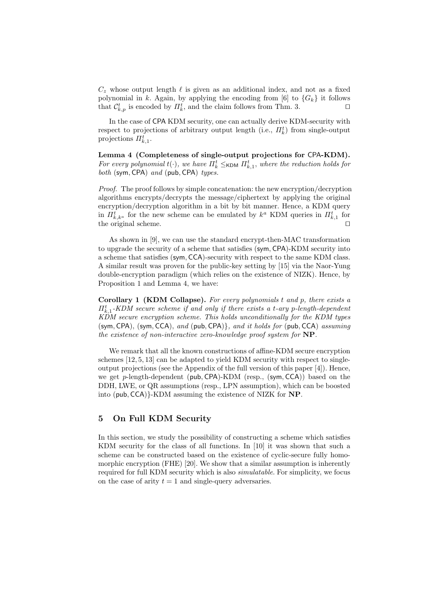$C_z$  whose output length  $\ell$  is given as an additional index, and not as a fixed polynomial in *k*. Again, by applying the encoding from [6] to  $\{G_k\}$  it follows that  $\mathcal{C}_{k,p}^t$  is encoded by  $\prod_k^t$ , and the claim follows from Thm. 3.  $\Box$ 

In the case of CPA KDM security, one can actually derive KDM-security with respect to projections of arbitrary output length (i.e., *Π<sup>t</sup> k* ) from single-output projections *Π<sup>t</sup> k,*1 .

**Lemma 4 (Completeness of single-output projections for** CPA**-KDM).** *For every polynomial*  $t(\cdot)$ *, we have*  $\Pi_k^t \leq_{\text{KDM}} \Pi_{k,1}^t$ *, where the reduction holds for both* (sym*,* CPA) *and* (pub*,* CPA) *types.*

*Proof.* The proof follows by simple concatenation: the new encryption/decryption algorithms encrypts/decrypts the message/ciphertext by applying the original encryption/decryption algorithm in a bit by bit manner. Hence, a KDM query in  $\Pi_{k,k^a}^t$  for the new scheme can be emulated by  $k^a$  KDM queries in  $\Pi_{k,1}^t$  for the original scheme. *⊓⊔*

As shown in [9], we can use the standard encrypt-then-MAC transformation to upgrade the security of a scheme that satisfies (sym*,* CPA)-KDM security into a scheme that satisfies (sym*,* CCA)-security with respect to the same KDM class. A similar result was proven for the public-key setting by [15] via the Naor-Yung double-encryption paradigm (which relies on the existence of NIZK). Hence, by Proposition 1 and Lemma 4, we have:

**Corollary 1 (KDM Collapse).** *For every polynomials t and p, there exists a Π<sup>t</sup> k,*1 *-KDM secure scheme if and only if there exists a t-ary p-length-dependent KDM secure encryption scheme. This holds unconditionally for the KDM types* (sym*,* CPA)*,* (sym*,* CCA)*, and* (pub*,* CPA)*}, and it holds for* (pub*,* CCA) *assuming the existence of non-interactive zero-knowledge proof system for* **NP***.*

We remark that all the known constructions of affine-KDM secure encryption schemes [12, 5, 13] can be adapted to yield KDM security with respect to singleoutput projections (see the Appendix of the full version of this paper [4]). Hence, we get *p*-length-dependent (pub*,* CPA)-KDM (resp., (sym*,* CCA)) based on the DDH, LWE, or QR assumptions (resp., LPN assumption), which can be boosted into (pub*,* CCA)*}*-KDM assuming the existence of NIZK for **NP**.

# **5 On Full KDM Security**

In this section, we study the possibility of constructing a scheme which satisfies KDM security for the class of all functions. In [10] it was shown that such a scheme can be constructed based on the existence of cyclic-secure fully homomorphic encryption (FHE) [20]. We show that a similar assumption is inherently required for full KDM security which is also *simulatable*. For simplicity, we focus on the case of arity  $t = 1$  and single-query adversaries.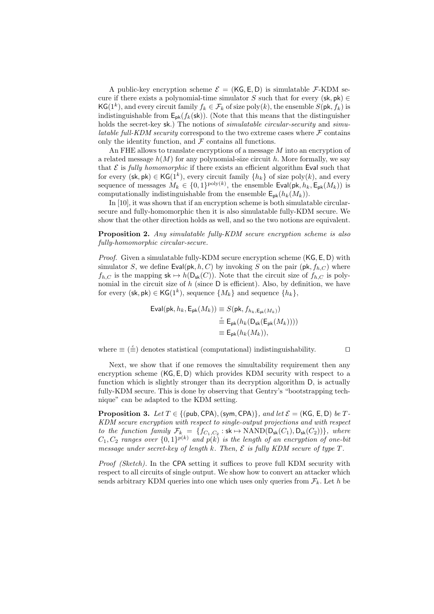A public-key encryption scheme  $\mathcal{E} = (K\mathsf{G}, \mathsf{E}, \mathsf{D})$  is simulatable  $\mathcal{F}\text{-}\text{KDM}$  secure if there exists a polynomial-time simulator  $S$  such that for every  $(\mathsf{sk}, \mathsf{pk}) \in$  $\mathsf{KG}(1^k)$ , and every circuit family  $f_k \in \mathcal{F}_k$  of size  $\text{poly}(k)$ , the ensemble  $S(\mathsf{pk}, f_k)$  is indistinguishable from  $E_{pk}(f_k(\mathsf{sk}))$ . (Note that this means that the distinguisher holds the secret-key sk.) The notions of *simulatable circular-security* and *simulatable full-KDM security* correspond to the two extreme cases where *F* contains only the identity function, and  $\mathcal F$  contains all functions.

An FHE allows to translate encryptions of a message *M* into an encryption of a related message  $h(M)$  for any polynomial-size circuit h. More formally, we say that  $\mathcal E$  is *fully homomorphic* if there exists an efficient algorithm Eval such that for every  $(\mathsf{sk}, \mathsf{pk}) \in \mathsf{KG}(1^k)$ , every circuit family  $\{h_k\}$  of size poly $(k)$ , and every sequence of messages  $M_k \in \{0,1\}^{\text{poly}(k)}$ , the ensemble Eval(pk,  $h_k$ , E<sub>pk</sub>( $M_k$ )) is computationally indistinguishable from the ensemble  $E_{\text{pk}}(h_k(M_k)).$ 

In [10], it was shown that if an encryption scheme is both simulatable circularsecure and fully-homomorphic then it is also simulatable fully-KDM secure. We show that the other direction holds as well, and so the two notions are equivalent.

**Proposition 2.** *Any simulatable fully-KDM secure encryption scheme is also fully-homomorphic circular-secure.*

*Proof.* Given a simulatable fully-KDM secure encryption scheme (KG*,* E*,* D) with simulator *S*, we define  $Eval(pk, h, C)$  by invoking *S* on the pair  $(pk, f_{h,C})$  where  $f_{h,C}$  is the mapping  $\mathsf{sk} \mapsto h(\mathsf{D}_{\mathsf{sk}}(C))$ . Note that the circuit size of  $f_{h,C}$  is polynomial in the circuit size of *h* (since D is efficient). Also, by definition, we have for every  $(\mathsf{sk}, \mathsf{pk}) \in \mathsf{KG}(1^k)$ , sequence  $\{M_k\}$  and sequence  $\{h_k\}$ ,

$$
\begin{aligned} \text{Eval}(\text{pk}, h_k, \mathsf{E}_{\text{pk}}(M_k)) &\equiv S(\text{pk}, f_{h_k, \mathsf{E}_{\text{pk}}(M_k)}) \\ &\stackrel{\subseteq}{=} \mathsf{E}_{\text{pk}}(h_k(\mathsf{D}_{\text{sk}}(\mathsf{E}_{\text{pk}}(M_k)))) \\ &\equiv \mathsf{E}_{\text{pk}}(h_k(M_k)), \end{aligned}
$$

where *≡* ( c *≡*) denotes statistical (computational) indistinguishability. *⊓⊔*

Next, we show that if one removes the simultability requirement then any encryption scheme (KG*,* E*,* D) which provides KDM security with respect to a function which is slightly stronger than its decryption algorithm D, is actually fully-KDM secure. This is done by observing that Gentry's "bootstrapping technique" can be adapted to the KDM setting.

**Proposition 3.** *Let*  $T \in \{(\text{pub}, \text{CPA}), (\text{sym}, \text{CPA})\}$ *, and let*  $\mathcal{E} = (\text{KG}, \text{E}, \text{D})$  *be*  $T$ -*KDM secure encryption with respect to single-output projections and with respect to the function family*  $\mathcal{F}_k = \{f_{C_1, C_2} : \text{sk} \mapsto \text{NAND}(\mathsf{D}_{\text{sk}}(C_1), \mathsf{D}_{\text{sk}}(C_2))\},\$  where  $C_1, C_2$  *ranges over*  $\{0,1\}^{p(k)}$  *and*  $p(k)$  *is the length of an encryption of one-bit message under secret-key of length k. Then, E is fully KDM secure of type T.*

*Proof (Sketch).* In the CPA setting it suffices to prove full KDM security with respect to all circuits of single output. We show how to convert an attacker which sends arbitrary KDM queries into one which uses only queries from  $\mathcal{F}_k$ . Let *h* be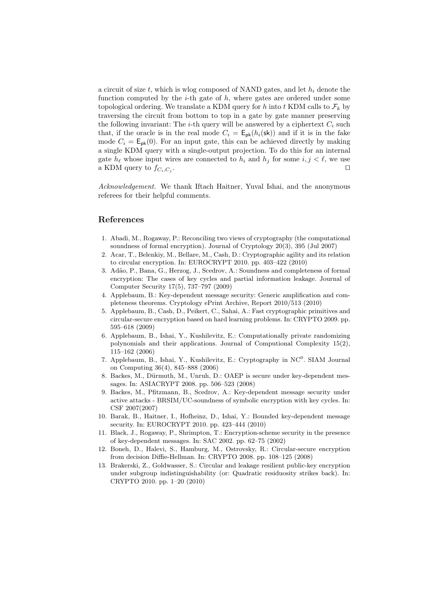a circuit of size *t*, which is wlog composed of NAND gates, and let *h<sup>i</sup>* denote the function computed by the *i*-th gate of *h*, where gates are ordered under some topological ordering. We translate a KDM query for  $h$  into  $t$  KDM calls to  $\mathcal{F}_k$  by traversing the circuit from bottom to top in a gate by gate manner preserving the following invariant: The *i*-th query will be answered by a ciphertext  $C_i$  such that, if the oracle is in the real mode  $C_i = \mathsf{E}_{\mathsf{pk}}(h_i(\mathsf{sk}))$  and if it is in the fake mode  $C_i = \mathsf{E}_{\mathsf{pk}}(0)$ . For an input gate, this can be achieved directly by making a single KDM query with a single-output projection. To do this for an internal gate  $h_{\ell}$  whose input wires are connected to  $h_i$  and  $h_j$  for some  $i, j \leq \ell$ , we use a KDM query to  $f_{C_i, C_j}$ . . *⊓⊔*

*Acknowledgement.* We thank Iftach Haitner, Yuval Ishai, and the anonymous referees for their helpful comments.

# **References**

- 1. Abadi, M., Rogaway, P.: Reconciling two views of cryptography (the computational soundness of formal encryption). Journal of Cryptology 20(3), 395 (Jul 2007)
- 2. Acar, T., Belenkiy, M., Bellare, M., Cash, D.: Cryptographic agility and its relation to circular encryption. In: EUROCRYPT 2010. pp. 403–422 (2010)
- 3. Adão, P., Bana, G., Herzog, J., Scedrov, A.: Soundness and completeness of formal encryption: The cases of key cycles and partial information leakage. Journal of Computer Security 17(5), 737–797 (2009)
- 4. Applebaum, B.: Key-dependent message security: Generic amplification and completeness theorems. Cryptology ePrint Archive, Report 2010/513 (2010)
- 5. Applebaum, B., Cash, D., Peikert, C., Sahai, A.: Fast cryptographic primitives and circular-secure encryption based on hard learning problems. In: CRYPTO 2009. pp. 595–618 (2009)
- 6. Applebaum, B., Ishai, Y., Kushilevitz, E.: Computationally private randomizing polynomials and their applications. Journal of Computional Complexity 15(2), 115–162 (2006)
- 7. Applebaum, B., Ishai, Y., Kushilevitz, E.: Cryptography in NC<sup>0</sup>. SIAM Journal on Computing 36(4), 845–888 (2006)
- Backes, M., Dürmuth, M., Unruh, D.: OAEP is secure under key-dependent messages. In: ASIACRYPT 2008. pp. 506–523 (2008)
- 9. Backes, M., Pfitzmann, B., Scedrov, A.: Key-dependent message security under active attacks - BRSIM/UC-soundness of symbolic encryption with key cycles. In: CSF 2007(2007)
- 10. Barak, B., Haitner, I., Hofheinz, D., Ishai, Y.: Bounded key-dependent message security. In: EUROCRYPT 2010. pp. 423–444 (2010)
- 11. Black, J., Rogaway, P., Shrimpton, T.: Encryption-scheme security in the presence of key-dependent messages. In: SAC 2002. pp. 62–75 (2002)
- 12. Boneh, D., Halevi, S., Hamburg, M., Ostrovsky, R.: Circular-secure encryption from decision Diffie-Hellman. In: CRYPTO 2008. pp. 108–125 (2008)
- 13. Brakerski, Z., Goldwasser, S.: Circular and leakage resilient public-key encryption under subgroup indistinguishability (or: Quadratic residuosity strikes back). In: CRYPTO 2010. pp. 1–20 (2010)